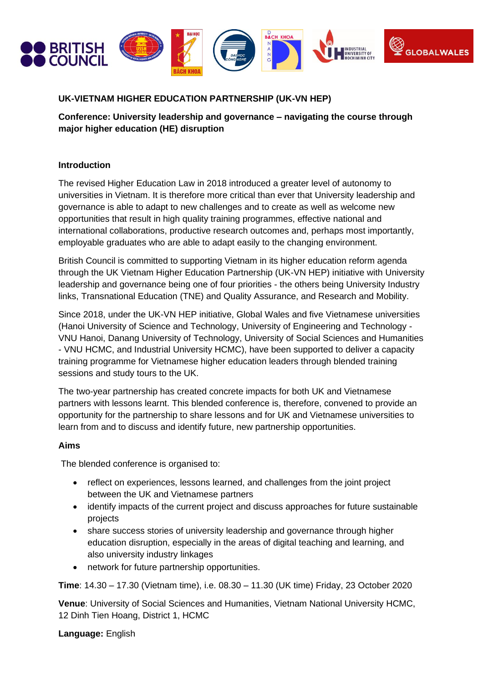

## **UK-VIETNAM HIGHER EDUCATION PARTNERSHIP (UK-VN HEP)**

**Conference: University leadership and governance – navigating the course through major higher education (HE) disruption**

## **Introduction**

The revised Higher Education Law in 2018 introduced a greater level of autonomy to universities in Vietnam. It is therefore more critical than ever that University leadership and governance is able to adapt to new challenges and to create as well as welcome new opportunities that result in high quality training programmes, effective national and international collaborations, productive research outcomes and, perhaps most importantly, employable graduates who are able to adapt easily to the changing environment.

British Council is committed to supporting Vietnam in its higher education reform agenda through the UK Vietnam Higher Education Partnership (UK-VN HEP) initiative with University leadership and governance being one of four priorities - the others being University Industry links, Transnational Education (TNE) and Quality Assurance, and Research and Mobility.

Since 2018, under the UK-VN HEP initiative, Global Wales and five Vietnamese universities (Hanoi University of Science and Technology, University of Engineering and Technology - VNU Hanoi, Danang University of Technology, University of Social Sciences and Humanities - VNU HCMC, and Industrial University HCMC), have been supported to deliver a capacity training programme for Vietnamese higher education leaders through blended training sessions and study tours to the UK.

The two-year partnership has created concrete impacts for both UK and Vietnamese partners with lessons learnt. This blended conference is, therefore, convened to provide an opportunity for the partnership to share lessons and for UK and Vietnamese universities to learn from and to discuss and identify future, new partnership opportunities.

## **Aims**

The blended conference is organised to:

- reflect on experiences, lessons learned, and challenges from the joint project between the UK and Vietnamese partners
- identify impacts of the current project and discuss approaches for future sustainable projects
- share success stories of university leadership and governance through higher education disruption, especially in the areas of digital teaching and learning, and also university industry linkages
- network for future partnership opportunities.

**Time**: 14.30 – 17.30 (Vietnam time), i.e. 08.30 – 11.30 (UK time) Friday, 23 October 2020

**Venue**: University of Social Sciences and Humanities, Vietnam National University HCMC, 12 Dinh Tien Hoang, District 1, HCMC

**Language:** English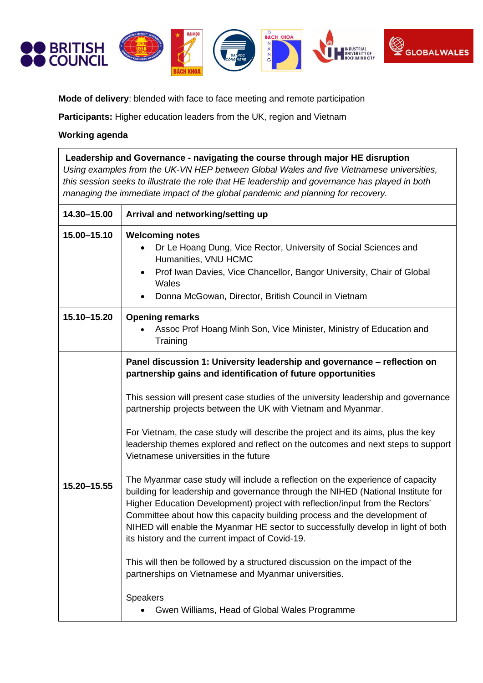

**Mode of delivery**: blended with face to face meeting and remote participation

**Participants:** Higher education leaders from the UK, region and Vietnam

## **Working agenda**

| Leadership and Governance - navigating the course through major HE disruption<br>Using examples from the UK-VN HEP between Global Wales and five Vietnamese universities,<br>this session seeks to illustrate the role that HE leadership and governance has played in both<br>managing the immediate impact of the global pandemic and planning for recovery. |                                                                                                                                                                                                                                                                                                                                                                                                                                                                                                                                                                                                                                                                                                                                                                                                                                                                                                                                                                                                                                                                                                                                                      |  |
|----------------------------------------------------------------------------------------------------------------------------------------------------------------------------------------------------------------------------------------------------------------------------------------------------------------------------------------------------------------|------------------------------------------------------------------------------------------------------------------------------------------------------------------------------------------------------------------------------------------------------------------------------------------------------------------------------------------------------------------------------------------------------------------------------------------------------------------------------------------------------------------------------------------------------------------------------------------------------------------------------------------------------------------------------------------------------------------------------------------------------------------------------------------------------------------------------------------------------------------------------------------------------------------------------------------------------------------------------------------------------------------------------------------------------------------------------------------------------------------------------------------------------|--|
| 14.30-15.00                                                                                                                                                                                                                                                                                                                                                    | Arrival and networking/setting up                                                                                                                                                                                                                                                                                                                                                                                                                                                                                                                                                                                                                                                                                                                                                                                                                                                                                                                                                                                                                                                                                                                    |  |
| 15.00-15.10                                                                                                                                                                                                                                                                                                                                                    | <b>Welcoming notes</b><br>Dr Le Hoang Dung, Vice Rector, University of Social Sciences and<br>Humanities, VNU HCMC<br>Prof Iwan Davies, Vice Chancellor, Bangor University, Chair of Global<br>Wales<br>Donna McGowan, Director, British Council in Vietnam                                                                                                                                                                                                                                                                                                                                                                                                                                                                                                                                                                                                                                                                                                                                                                                                                                                                                          |  |
| 15.10-15.20                                                                                                                                                                                                                                                                                                                                                    | <b>Opening remarks</b><br>Assoc Prof Hoang Minh Son, Vice Minister, Ministry of Education and<br>Training                                                                                                                                                                                                                                                                                                                                                                                                                                                                                                                                                                                                                                                                                                                                                                                                                                                                                                                                                                                                                                            |  |
| 15.20-15.55                                                                                                                                                                                                                                                                                                                                                    | Panel discussion 1: University leadership and governance - reflection on<br>partnership gains and identification of future opportunities<br>This session will present case studies of the university leadership and governance<br>partnership projects between the UK with Vietnam and Myanmar.<br>For Vietnam, the case study will describe the project and its aims, plus the key<br>leadership themes explored and reflect on the outcomes and next steps to support<br>Vietnamese universities in the future<br>The Myanmar case study will include a reflection on the experience of capacity<br>building for leadership and governance through the NIHED (National Institute for<br>Higher Education Development) project with reflection/input from the Rectors'<br>Committee about how this capacity building process and the development of<br>NIHED will enable the Myanmar HE sector to successfully develop in light of both<br>its history and the current impact of Covid-19.<br>This will then be followed by a structured discussion on the impact of the<br>partnerships on Vietnamese and Myanmar universities.<br><b>Speakers</b> |  |

• Gwen Williams, Head of Global Wales Programme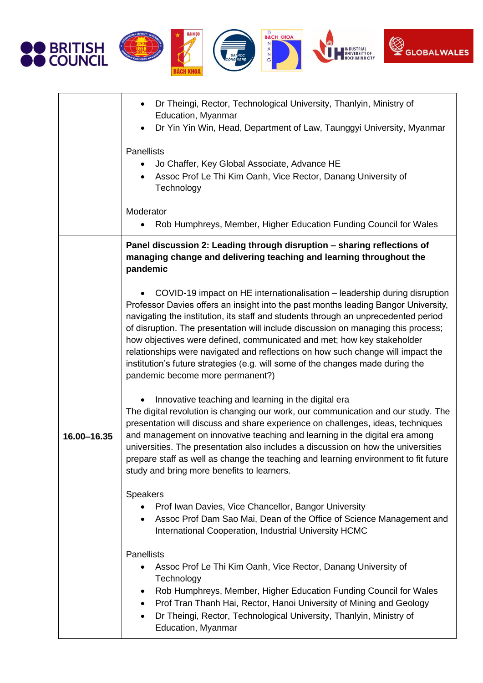









|             | Dr Theingi, Rector, Technological University, Thanlyin, Ministry of<br>$\bullet$<br>Education, Myanmar<br>Dr Yin Yin Win, Head, Department of Law, Taunggyi University, Myanmar<br>$\bullet$<br><b>Panellists</b><br>Jo Chaffer, Key Global Associate, Advance HE<br>Assoc Prof Le Thi Kim Oanh, Vice Rector, Danang University of<br>$\bullet$<br>Technology                                                                                                                                                                                                                                                                 |
|-------------|-------------------------------------------------------------------------------------------------------------------------------------------------------------------------------------------------------------------------------------------------------------------------------------------------------------------------------------------------------------------------------------------------------------------------------------------------------------------------------------------------------------------------------------------------------------------------------------------------------------------------------|
|             | Moderator<br>Rob Humphreys, Member, Higher Education Funding Council for Wales                                                                                                                                                                                                                                                                                                                                                                                                                                                                                                                                                |
|             | Panel discussion 2: Leading through disruption - sharing reflections of<br>managing change and delivering teaching and learning throughout the<br>pandemic                                                                                                                                                                                                                                                                                                                                                                                                                                                                    |
| 16.00-16.35 | COVID-19 impact on HE internationalisation - leadership during disruption<br>Professor Davies offers an insight into the past months leading Bangor University,<br>navigating the institution, its staff and students through an unprecedented period<br>of disruption. The presentation will include discussion on managing this process;<br>how objectives were defined, communicated and met; how key stakeholder<br>relationships were navigated and reflections on how such change will impact the<br>institution's future strategies (e.g. will some of the changes made during the<br>pandemic become more permanent?) |
|             | Innovative teaching and learning in the digital era<br>The digital revolution is changing our work, our communication and our study. The<br>presentation will discuss and share experience on challenges, ideas, techniques<br>and management on innovative teaching and learning in the digital era among<br>universities. The presentation also includes a discussion on how the universities<br>prepare staff as well as change the teaching and learning environment to fit future<br>study and bring more benefits to learners.                                                                                          |
|             | <b>Speakers</b><br>Prof Iwan Davies, Vice Chancellor, Bangor University<br>Assoc Prof Dam Sao Mai, Dean of the Office of Science Management and<br>International Cooperation, Industrial University HCMC                                                                                                                                                                                                                                                                                                                                                                                                                      |
|             | <b>Panellists</b><br>Assoc Prof Le Thi Kim Oanh, Vice Rector, Danang University of<br>Technology<br>Rob Humphreys, Member, Higher Education Funding Council for Wales<br>٠<br>Prof Tran Thanh Hai, Rector, Hanoi University of Mining and Geology<br>٠<br>Dr Theingi, Rector, Technological University, Thanlyin, Ministry of<br>$\bullet$<br>Education, Myanmar                                                                                                                                                                                                                                                              |